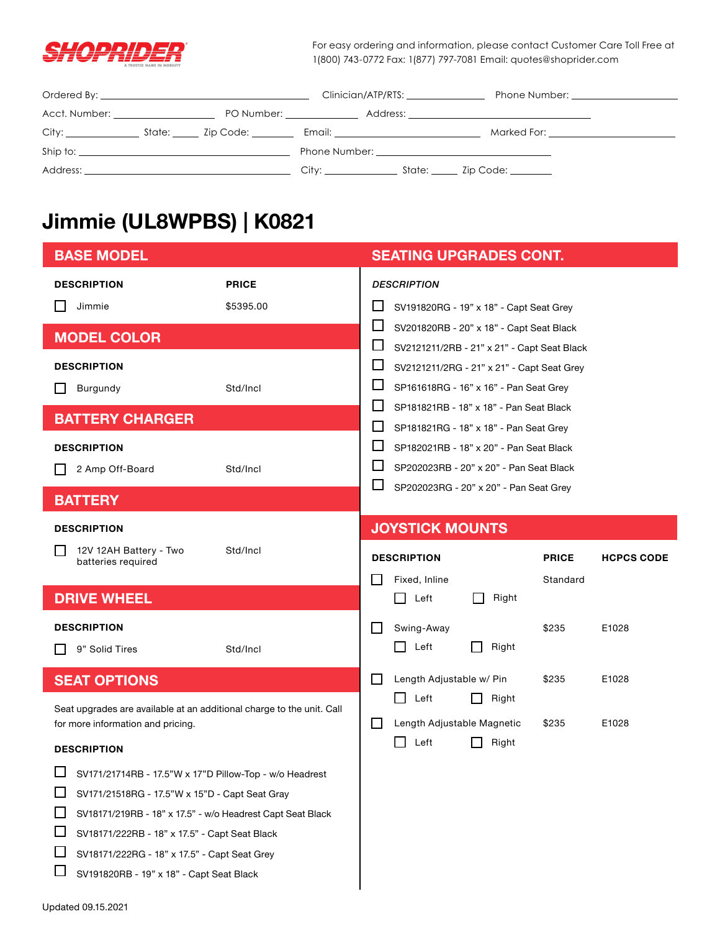

For easy ordering and information, please contact Customer Care Toll Free at 1(800) 743-0772 Fax: 1(877) 797-7081 Email: quotes@shoprider.com

|                             |                           |                                                                                                                                                                                                                                | Clinician/ATP/RTS: | Phone Number: The contract of the contract of the contract of the contract of the contract of the contract of the contract of the contract of the contract of the contract of the contract of the contract of the contract of  |
|-----------------------------|---------------------------|--------------------------------------------------------------------------------------------------------------------------------------------------------------------------------------------------------------------------------|--------------------|--------------------------------------------------------------------------------------------------------------------------------------------------------------------------------------------------------------------------------|
| Acct. Number: Acct. Number: | PO Number: ______________ |                                                                                                                                                                                                                                |                    |                                                                                                                                                                                                                                |
|                             |                           | Email: Email: Album and the state of the state of the state of the state of the state of the state of the state of the state of the state of the state of the state of the state of the state of the state of the state of the |                    | Marked For: the contract of the contract of the contract of the contract of the contract of the contract of the contract of the contract of the contract of the contract of the contract of the contract of the contract of th |
|                             |                           |                                                                                                                                                                                                                                |                    |                                                                                                                                                                                                                                |
|                             |                           | City: the contract of the contract of the contract of the contract of the contract of the contract of the contract of the contract of the contract of the contract of the contract of the contract of the contract of the cont | State: Zip Code:   |                                                                                                                                                                                                                                |

# **Jimmie (UL8WPBS) | K0821**

| <b>BASE MODEL</b>                                                                                                                |                                                         | <b>SEATING UPGRADES CONT.</b>                                                                                                                                                         |  |  |  |
|----------------------------------------------------------------------------------------------------------------------------------|---------------------------------------------------------|---------------------------------------------------------------------------------------------------------------------------------------------------------------------------------------|--|--|--|
| <b>DESCRIPTION</b><br>Jimmie                                                                                                     | <b>PRICE</b><br>\$5395.00                               | <b>DESCRIPTION</b><br>ப<br>SV191820RG - 19" x 18" - Capt Seat Grey                                                                                                                    |  |  |  |
| <b>MODEL COLOR</b>                                                                                                               |                                                         | ப<br>SV201820RB - 20" x 18" - Capt Seat Black<br>ப<br>SV2121211/2RB - 21" x 21" - Capt Seat Black                                                                                     |  |  |  |
| <b>DESCRIPTION</b><br>Burgundy<br>$\mathsf{L}$                                                                                   | Std/Incl                                                | ⊔<br>SV2121211/2RG - 21" x 21" - Capt Seat Grey<br>$\Box$<br>SP161618RG - 16" x 16" - Pan Seat Grey                                                                                   |  |  |  |
| <b>BATTERY CHARGER</b>                                                                                                           |                                                         | $\mathsf{L}$<br>SP181821RB - 18" x 18" - Pan Seat Black<br>H<br>SP181821RG - 18" x 18" - Pan Seat Grey                                                                                |  |  |  |
| <b>DESCRIPTION</b><br>2 Amp Off-Board<br>Std/Incl                                                                                |                                                         | $\Box$<br>SP182021RB - 18" x 20" - Pan Seat Black<br>$\mathsf{L}$<br>SP202023RB - 20" x 20" - Pan Seat Black<br>$\mathcal{L}_{\mathcal{A}}$<br>SP202023RG - 20" x 20" - Pan Seat Grey |  |  |  |
| <b>BATTERY</b>                                                                                                                   |                                                         |                                                                                                                                                                                       |  |  |  |
| <b>DESCRIPTION</b>                                                                                                               |                                                         | <b>JOYSTICK MOUNTS</b>                                                                                                                                                                |  |  |  |
| 12V 12AH Battery - Two<br>ΙI<br>batteries required                                                                               | Std/Incl                                                | <b>DESCRIPTION</b><br><b>PRICE</b><br><b>HCPCS CODE</b><br>Fixed, Inline<br>Standard                                                                                                  |  |  |  |
| <b>DRIVE WHEEL</b>                                                                                                               |                                                         | Left<br>Right<br>ΙI                                                                                                                                                                   |  |  |  |
| <b>DESCRIPTION</b><br>9" Solid Tires                                                                                             | Std/Incl                                                | Swing-Away<br>l 1<br>\$235<br>E1028<br>Right<br>Left                                                                                                                                  |  |  |  |
| <b>SEAT OPTIONS</b>                                                                                                              |                                                         | Length Adjustable w/ Pin<br>\$235<br>$\mathsf{L}$<br>E1028<br>Right<br>ΙI<br>Left                                                                                                     |  |  |  |
| Seat upgrades are available at an additional charge to the unit. Call<br>for more information and pricing.<br><b>DESCRIPTION</b> |                                                         | Length Adjustable Magnetic<br>\$235<br>LІ<br>E1028<br>Right<br>Left                                                                                                                   |  |  |  |
| SV171/21518RG - 17.5"W x 15"D - Capt Seat Gray<br>SV18171/219RB - 18" x 17.5" - w/o Headrest Capt Seat Black                     | SV171/21714RB - 17.5"W x 17"D Pillow-Top - w/o Headrest |                                                                                                                                                                                       |  |  |  |